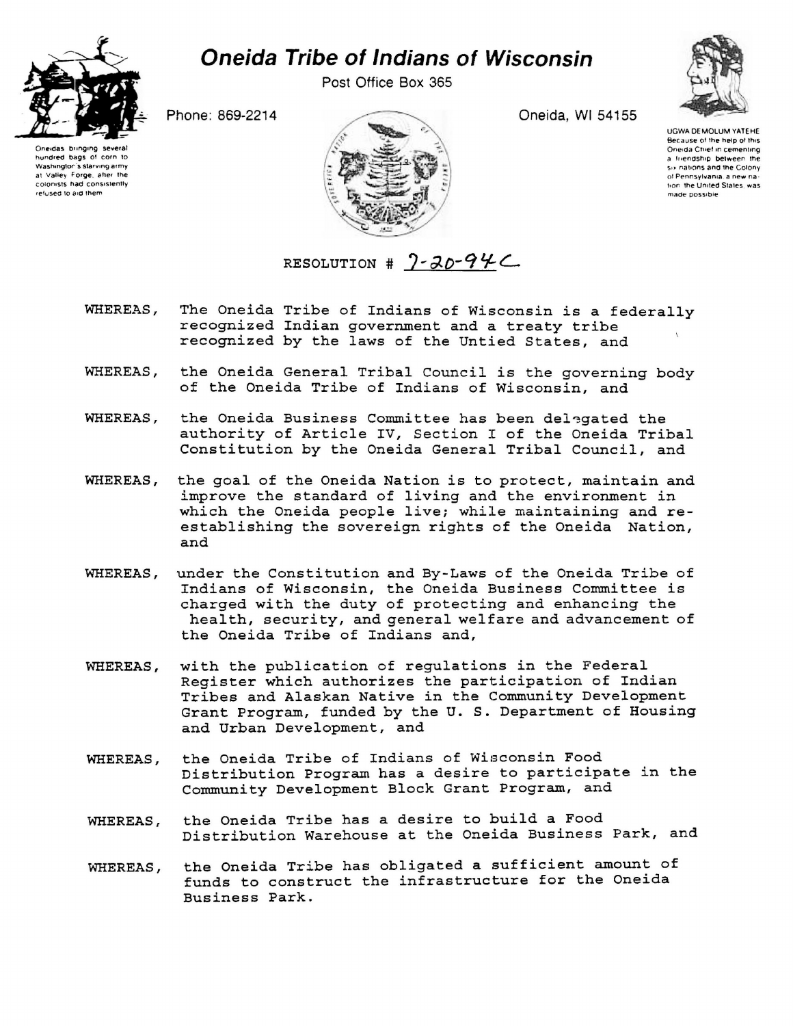

## *Oneida Tribe of Indians of Wisconsin*

Post Office Box 365



Oneidas bringing several hundred bags of corn to Washington's starving army at Valley Forge, after the colonists had consistently refused to aid them



UGWA DEMOLUM YAT6HE Because of the help of this Oneida Chief in cementing a friendship between the six nations and the Colony of Pennsylvania, a new nation the United States was made possible

RESOLUTION #  $7 - 20 - 94C$ 

- WHEREAS, The Oneida Tribe of Indians of Wisconsin is a federally recognized Indian government and a treaty tribe recognized by the laws of the Untied States, and
- WHEREAS, the Oneida General Tribal Council is the governing body of the Oneida Tribe of Indians of Wisconsin, and
- WHEREAS, the Oneida Business Committee has been delegated the authority of Article IV, Section I of the Oneida Tribal Constitution by the Oneida General Tribal Council, and
- WHEREAS, the goal of the Oneida Nation is to protect, maintain and improve the standard of living and the environment in which the Oneida people live; while maintaining and reestablishing the sovereign rights of the Oneida Nation, and
- WHEREAS, under the Constitution and By-Laws of the Oneida Tribe of Indians of Wisconsin, the Oneida Business Committee is charged with the duty of protecting and enhancing the health, security, and general welfare and advancement of the Oneida Tribe of Indians and,
- WHEREAS, with the publication of regulations in the Federal Register which authorizes the participation of Indian Tribes and Alaskan Native in the Community Development Grant Program, funded by the U. S. Department of Housing and Urban Development, and
- WHEREAS, the Oneida Tribe of Indians of Wisconsin Food Distribution Program has a desire to participate in the Community Development Block Grant Program, and
- WHEREAS, the Oneida Tribe has a desire to build a Food Distribution Warehouse at the Oneida Business Park, and
- WHEREAS, the Oneida Tribe has obligated a sufficient amount of funds to construct the infrastructure for the Oneida Business Park.